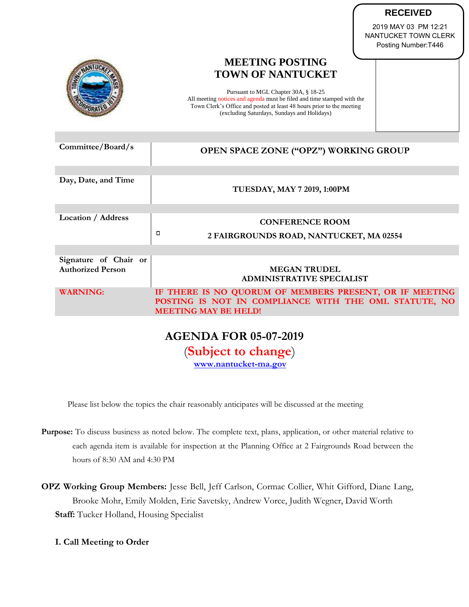| <b>RECEIVED</b> |  |
|-----------------|--|
|                 |  |

2019 MAY 03 PM 12:21 NANTUCKET TOWN CLERK Posting Number:T446

# **MEETING POSTING TOWN OF NANTUCKET** Pursuant to MGL Chapter 30A, § 18-25 All meeting notices and agenda must be filed and time stamped with the Town Clerk's Office and posted at least 48 hours prior to the meeting (excluding Saturdays, Sundays and Holidays)

| Committee/Board/s                                 | OPEN SPACE ZONE ("OPZ") WORKING GROUP                                                                                                           |
|---------------------------------------------------|-------------------------------------------------------------------------------------------------------------------------------------------------|
|                                                   |                                                                                                                                                 |
| Day, Date, and Time                               | TUESDAY, MAY 7 2019, 1:00PM                                                                                                                     |
|                                                   |                                                                                                                                                 |
| Location / Address                                | <b>CONFERENCE ROOM</b>                                                                                                                          |
|                                                   | α<br>2 FAIRGROUNDS ROAD, NANTUCKET, MA 02554                                                                                                    |
|                                                   |                                                                                                                                                 |
| Signature of Chair or<br><b>Authorized Person</b> | <b>MEGAN TRUDEL</b><br><b>ADMINISTRATIVE SPECIALIST</b>                                                                                         |
| <b>WARNING:</b>                                   | IF THERE IS NO QUORUM OF MEMBERS PRESENT, OR IF MEETING<br>POSTING IS NOT IN COMPLIANCE WITH THE OML STATUTE, NO<br><b>MEETING MAY BE HELD!</b> |
|                                                   |                                                                                                                                                 |

**AGENDA FOR 05-07-2019** (**Subject to change**)

**[www.nantucket-ma.gov](http://www.nantucket-ma.gov/)**

Please list below the topics the chair reasonably anticipates will be discussed at the meeting

- **Purpose:** To discuss business as noted below. The complete text, plans, application, or other material relative to each agenda item is available for inspection at the Planning Office at 2 Fairgrounds Road between the hours of 8:30 AM and 4:30 PM
- **OPZ Working Group Members:** Jesse Bell, Jeff Carlson, Cormac Collier, Whit Gifford, Diane Lang, Brooke Mohr, Emily Molden, Eric Savetsky, Andrew Vorce, Judith Wegner, David Worth **Staff:** Tucker Holland, Housing Specialist
	- **I. Call Meeting to Order**